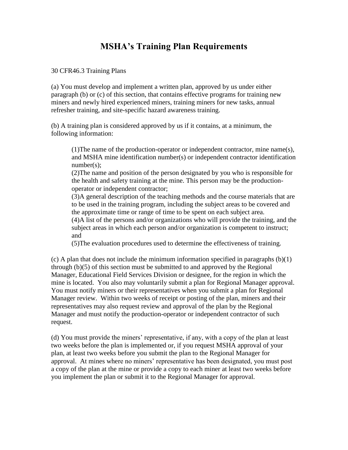## **MSHA's Training Plan Requirements**

30 CFR46.3 Training Plans

(a) You must develop and implement a written plan, approved by us under either paragraph (b) or (c) of this section, that contains effective programs for training new miners and newly hired experienced miners, training miners for new tasks, annual refresher training, and site-specific hazard awareness training.

(b) A training plan is considered approved by us if it contains, at a minimum, the following information:

 $(1)$ The name of the production-operator or independent contractor, mine name(s), and MSHA mine identification number(s) or independent contractor identification number(s);

(2)The name and position of the person designated by you who is responsible for the health and safety training at the mine. This person may be the productionoperator or independent contractor;

(3)A general description of the teaching methods and the course materials that are to be used in the training program, including the subject areas to be covered and the approximate time or range of time to be spent on each subject area.

(4)A list of the persons and/or organizations who will provide the training, and the subject areas in which each person and/or organization is competent to instruct; and

(5)The evaluation procedures used to determine the effectiveness of training.

(c) A plan that does not include the minimum information specified in paragraphs (b)(1) through (b)(5) of this section must be submitted to and approved by the Regional Manager, Educational Field Services Division or designee, for the region in which the mine is located. You also may voluntarily submit a plan for Regional Manager approval. You must notify miners or their representatives when you submit a plan for Regional Manager review. Within two weeks of receipt or posting of the plan, miners and their representatives may also request review and approval of the plan by the Regional Manager and must notify the production-operator or independent contractor of such request.

(d) You must provide the miners' representative, if any, with a copy of the plan at least two weeks before the plan is implemented or, if you request MSHA approval of your plan, at least two weeks before you submit the plan to the Regional Manager for approval. At mines where no miners' representative has been designated, you must post a copy of the plan at the mine or provide a copy to each miner at least two weeks before you implement the plan or submit it to the Regional Manager for approval.